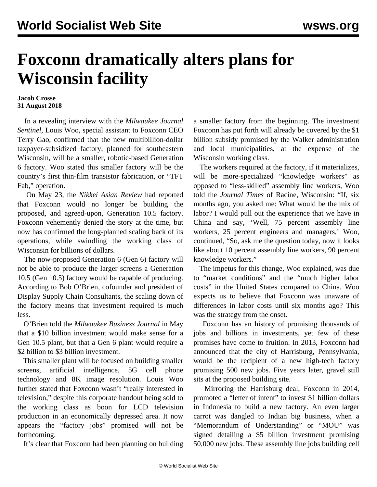## **Foxconn dramatically alters plans for Wisconsin facility**

## **Jacob Crosse 31 August 2018**

 In a revealing interview with the *Milwaukee Journal Sentinel*, Louis Woo, special assistant to Foxconn CEO Terry Gao, confirmed that the new multibillion-dollar taxpayer-subsidized factory, planned for southeastern Wisconsin, will be a smaller, robotic-based Generation 6 factory. Woo stated this smaller factory will be the country's first thin-film transistor fabrication, or "TFT Fab," operation.

 On May 23, the *Nikkei Asian Review* had reported that Foxconn would no longer be building the proposed, and agreed-upon, Generation 10.5 factory. Foxconn vehemently denied the story at the time, but now has confirmed the long-planned scaling back of its operations, while swindling the working class of Wisconsin for billions of dollars.

 The now-proposed Generation 6 (Gen 6) factory will not be able to produce the larger screens a Generation 10.5 (Gen 10.5) factory would be capable of producing. According to Bob O'Brien, cofounder and president of Display Supply Chain Consultants, the scaling down of the factory means that investment required is much less.

 O'Brien told the *Milwaukee Business Journal* in May that a \$10 billion investment would make sense for a Gen 10.5 plant, but that a Gen 6 plant would require a \$2 billion to \$3 billion investment.

 This smaller plant will be focused on building smaller screens, artificial intelligence, 5G cell phone technology and 8K image resolution. Louis Woo further stated that Foxconn wasn't "really interested in television," despite this corporate handout being sold to the working class as boon for LCD television production in an economically depressed area. It now appears the "factory jobs" promised will not be forthcoming.

It's clear that Foxconn had been planning on building

a smaller factory from the beginning. The investment Foxconn has put forth will already be covered by the \$1 billion subsidy promised by the Walker administration and local municipalities, at the expense of the Wisconsin working class.

 The workers required at the factory, if it materializes, will be more-specialized "knowledge workers" as opposed to "less-skilled" assembly line workers, Woo told the *Journal Times* of Racine, Wisconsin: "If, six months ago, you asked me: What would be the mix of labor? I would pull out the experience that we have in China and say, 'Well, 75 percent assembly line workers, 25 percent engineers and managers,' Woo, continued, "So, ask me the question today, now it looks like about 10 percent assembly line workers, 90 percent knowledge workers."

 The impetus for this change, Woo explained, was due to "market conditions" and the "much higher labor costs" in the United States compared to China. Woo expects us to believe that Foxconn was unaware of differences in labor costs until six months ago? This was the strategy from the onset.

 Foxconn has an history of promising thousands of jobs and billions in investments, yet few of these promises have come to fruition. In 2013, Foxconn had announced that the city of Harrisburg, Pennsylvania, would be the recipient of a new high-tech factory promising 500 new jobs. Five years later, gravel still sits at the proposed building site.

 Mirroring the Harrisburg deal, Foxconn in 2014, promoted a "letter of intent" to invest \$1 billion dollars in Indonesia to build a new factory. An even larger carrot was dangled to Indian big business, when a "Memorandum of Understanding" or "MOU" was signed detailing a \$5 billion investment promising 50,000 new jobs. These assembly line jobs building cell